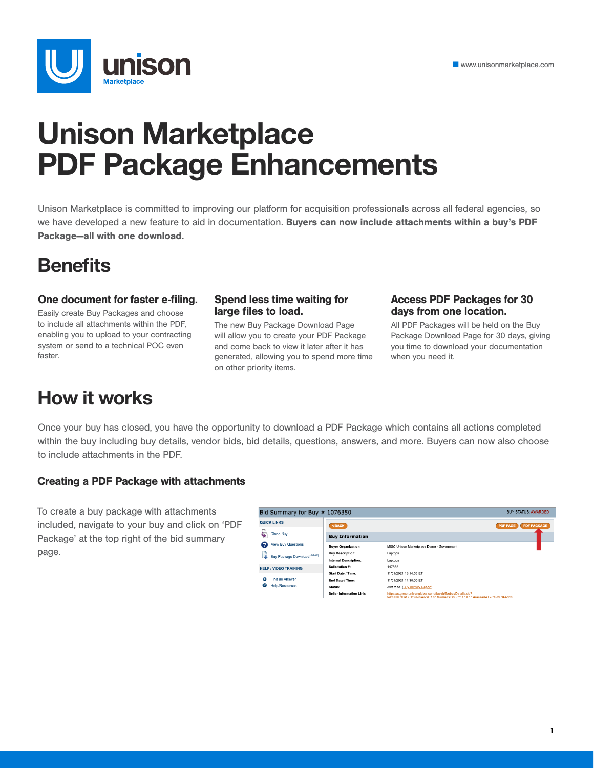

# **Unison Marketplace PDF Package Enhancements**

Unison Marketplace is committed to improving our platform for acquisition professionals across all federal agencies, so we have developed a new feature to aid in documentation. Buyers can now include attachments within a buy's PDF Package—all with one download.

### **Benefits**

#### One document for faster e-filing.

Easily create Buy Packages and choose to include all attachments within the PDF, enabling you to upload to your contracting system or send to a technical POC even faster.

#### Spend less time waiting for large files to load.

The new Buy Package Download Page will allow you to create your PDF Package and come back to view it later after it has generated, allowing you to spend more time on other priority items.

#### Access PDF Packages for 30 days from one location.

All PDF Packages will be held on the Buy Package Download Page for 30 days, giving you time to download your documentation when you need it.

### **How it works**

Once your buy has closed, you have the opportunity to download a PDF Package which contains all actions completed within the buy including buy details, vendor bids, bid details, questions, answers, and more. Buyers can now also choose to include attachments in the PDF.

#### Creating a PDF Package with attachments

To create a buy package with attachments included, navigate to your buy and click on 'PDF Package' at the top right of the bid summary page.

| Bid Summary for Buy $#$ 1076350<br><b>BUY STATUS: AWARDED</b> |                                                                      |                                                                                                                        |  |  |
|---------------------------------------------------------------|----------------------------------------------------------------------|------------------------------------------------------------------------------------------------------------------------|--|--|
| <b>QUICK LINKS</b>                                            | <back< th=""><th><b>PDF PACKAGE</b><br/><b>PDF PAGE</b></th></back<> | <b>PDF PACKAGE</b><br><b>PDF PAGE</b>                                                                                  |  |  |
| <b>Clone Buy</b>                                              | <b>Buy Information</b>                                               |                                                                                                                        |  |  |
| <b>View Buy Questions</b><br>7                                | <b>Buyer Organization:</b>                                           | MISC Unison Marketplace Demo - Government                                                                              |  |  |
| Buy Package Download (NEW)                                    | <b>Buy Description:</b>                                              | Laptops                                                                                                                |  |  |
|                                                               | <b>Internal Description:</b>                                         | Laptops                                                                                                                |  |  |
| <b>HELP / VIDEO TRAINING</b>                                  | Solicitation #:                                                      | 147852                                                                                                                 |  |  |
|                                                               | Start Date / Time:                                                   | 11/01/2021 13:14:53 ET                                                                                                 |  |  |
| Find an Answer<br>Q                                           | End Date / Time:                                                     | 11/01/2021 14:30:00 ET                                                                                                 |  |  |
| Ø<br><b>Help/Resources</b>                                    | Status:                                                              | Awarded (Buy Activity Report)                                                                                          |  |  |
|                                                               | <b>Seller Information Link:</b>                                      | https://stg-mp.unisonglobal.com/fbweb/fbobuyDetails.do?<br>token=%3D%3DQuNo6eE2CAnANumnoVDquCQAAAAAHeAAnAnTECGn%2EE22n |  |  |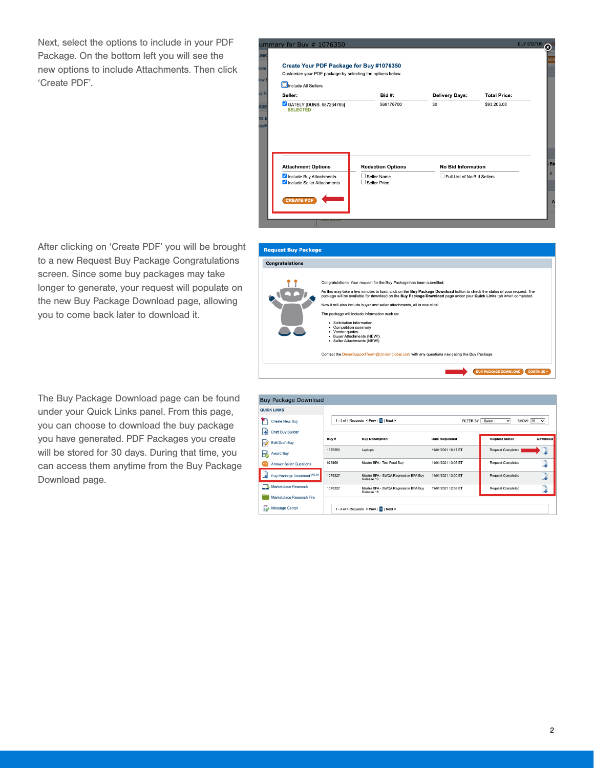Next, select the options to include in your PDF Package. On the bottom left you will see the new options to include Attachments. Then click 'Create PDF'.

| Customize your PDF package by selecting the options below. |                          |                           |                     |
|------------------------------------------------------------|--------------------------|---------------------------|---------------------|
| Include All Sellers                                        |                          |                           |                     |
| Seller:                                                    | <b>Bid #:</b>            | <b>Delivery Days:</b>     | <b>Total Price:</b> |
| GATELY [DUNS: 987234765]<br><b>SELECTED</b>                | 569176700                | 30                        | \$93,203.00         |
|                                                            |                          |                           |                     |
| <b>Attachment Options</b>                                  | <b>Redaction Options</b> | <b>No Bid Information</b> |                     |
|                                                            |                          |                           |                     |

After clicking on 'Create PDF' you will be brought to a new Request Buy Package Congratulations screen. Since some buy packages may take longer to generate, your request will populate on the new Buy Package Download page, allowing you to come back later to download it.

The Buy Package Download page can be found under your Quick Links panel. From this page, you can choose to download the buy package you have generated. PDF Packages you create will be stored for 30 days. During that time, you can access them anytime from the Buy Package Download page.

| <b>Congratulations</b>      |                                                                                                                                                                                                                                                                                                                                                                                                                                                                                                                                                                                                                                                                                            |
|-----------------------------|--------------------------------------------------------------------------------------------------------------------------------------------------------------------------------------------------------------------------------------------------------------------------------------------------------------------------------------------------------------------------------------------------------------------------------------------------------------------------------------------------------------------------------------------------------------------------------------------------------------------------------------------------------------------------------------------|
|                             | Congratulations! Your request for the Buy Package has been submitted.<br>As this may take a few minutes to load, click on the Buy Package Download button to check the status of your request. The<br>package will be available for download on the Buy Package Download page under your Quick Links tab when completed.<br>Now it will also include buver and seller attachments, all in one click!<br>The package will include information such as:<br>· Solicitation information<br>Competition summary<br>• Vendor quotes<br>· Buyer Attachments (NEW!)<br>· Seller Attachments (NEW!)<br>Contact the BuyerSupportTeam@Unisonglobal.com with any questions navigating the Buy Package. |
|                             | <b>BUY PACKAGE DOWNLOAD</b><br><b>CONTINUE</b>                                                                                                                                                                                                                                                                                                                                                                                                                                                                                                                                                                                                                                             |
|                             |                                                                                                                                                                                                                                                                                                                                                                                                                                                                                                                                                                                                                                                                                            |
|                             |                                                                                                                                                                                                                                                                                                                                                                                                                                                                                                                                                                                                                                                                                            |
| <b>Buy Package Download</b> |                                                                                                                                                                                                                                                                                                                                                                                                                                                                                                                                                                                                                                                                                            |
| <b>QUICK LINKS</b>          |                                                                                                                                                                                                                                                                                                                                                                                                                                                                                                                                                                                                                                                                                            |

| $\checkmark$ |
|--------------|
|              |
| Download     |
|              |
| Э            |
| ۵            |
|              |
|              |
|              |
|              |